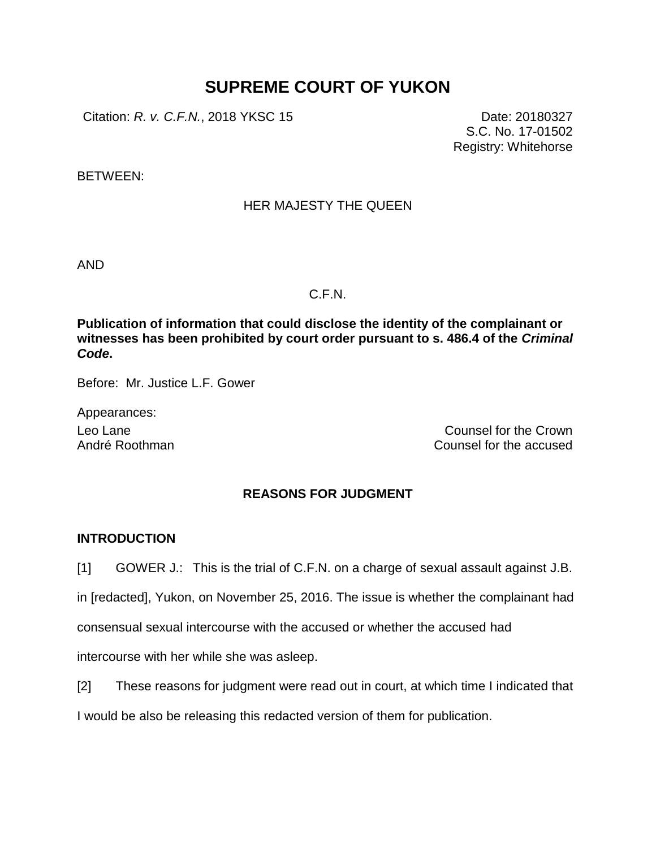# **SUPREME COURT OF YUKON**

Citation: *R. v. C.F.N.*, 2018 YKSC 15 Date: 20180327

S.C. No. 17-01502 Registry: Whitehorse

BETWEEN:

# HER MAJESTY THE QUEEN

AND

## C.F.N.

**Publication of information that could disclose the identity of the complainant or witnesses has been prohibited by court order pursuant to s. 486.4 of the** *Criminal Code***.**

Before: Mr. Justice L.F. Gower

Appearances:

Leo Lane Counsel for the Crown André Roothman Counsel for the accused

# **REASONS FOR JUDGMENT**

# **INTRODUCTION**

[1] GOWER J.: This is the trial of C.F.N. on a charge of sexual assault against J.B.

in [redacted], Yukon, on November 25, 2016. The issue is whether the complainant had

consensual sexual intercourse with the accused or whether the accused had

intercourse with her while she was asleep.

[2] These reasons for judgment were read out in court, at which time I indicated that I would be also be releasing this redacted version of them for publication.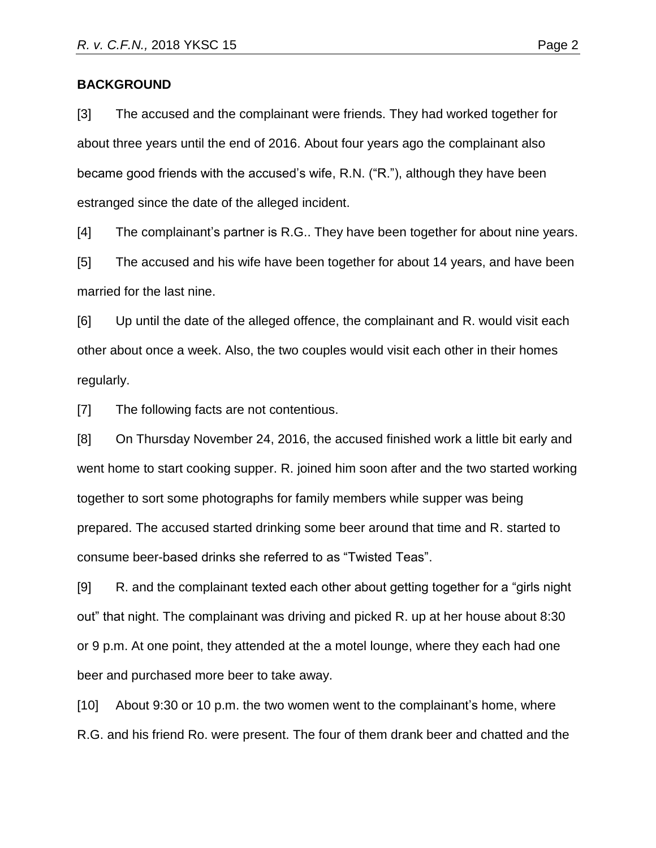## **BACKGROUND**

[3] The accused and the complainant were friends. They had worked together for about three years until the end of 2016. About four years ago the complainant also became good friends with the accused's wife, R.N. ("R."), although they have been estranged since the date of the alleged incident.

[4] The complainant's partner is R.G.. They have been together for about nine years.

[5] The accused and his wife have been together for about 14 years, and have been married for the last nine.

[6] Up until the date of the alleged offence, the complainant and R. would visit each other about once a week. Also, the two couples would visit each other in their homes regularly.

[7] The following facts are not contentious.

[8] On Thursday November 24, 2016, the accused finished work a little bit early and went home to start cooking supper. R. joined him soon after and the two started working together to sort some photographs for family members while supper was being prepared. The accused started drinking some beer around that time and R. started to consume beer-based drinks she referred to as "Twisted Teas".

[9] R. and the complainant texted each other about getting together for a "girls night out" that night. The complainant was driving and picked R. up at her house about 8:30 or 9 p.m. At one point, they attended at the a motel lounge, where they each had one beer and purchased more beer to take away.

[10] About 9:30 or 10 p.m. the two women went to the complainant's home, where R.G. and his friend Ro. were present. The four of them drank beer and chatted and the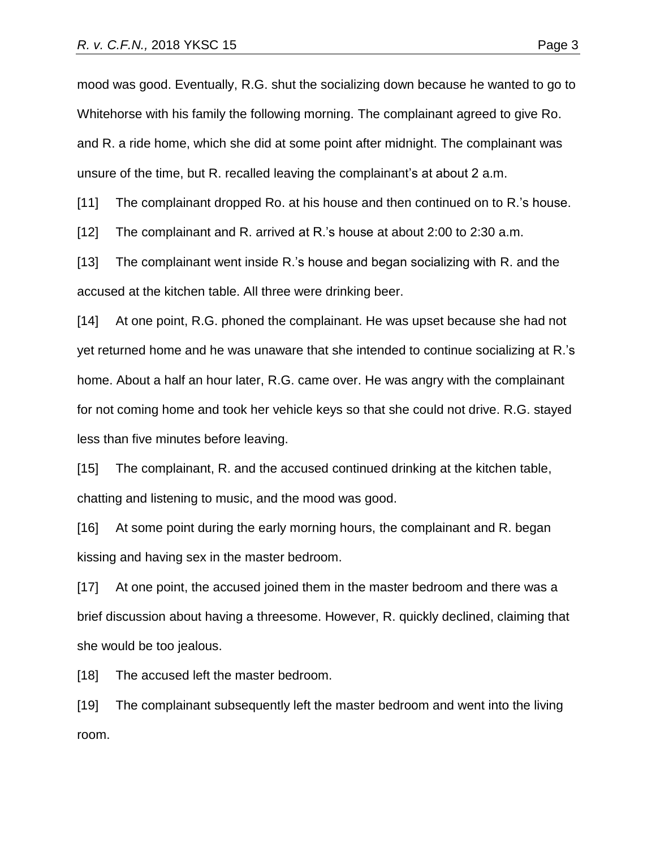mood was good. Eventually, R.G. shut the socializing down because he wanted to go to Whitehorse with his family the following morning. The complainant agreed to give Ro. and R. a ride home, which she did at some point after midnight. The complainant was unsure of the time, but R. recalled leaving the complainant's at about 2 a.m.

[11] The complainant dropped Ro. at his house and then continued on to R.'s house.

[12] The complainant and R. arrived at R.'s house at about 2:00 to 2:30 a.m.

[13] The complainant went inside R.'s house and began socializing with R. and the accused at the kitchen table. All three were drinking beer.

[14] At one point, R.G. phoned the complainant. He was upset because she had not yet returned home and he was unaware that she intended to continue socializing at R.'s home. About a half an hour later, R.G. came over. He was angry with the complainant for not coming home and took her vehicle keys so that she could not drive. R.G. stayed less than five minutes before leaving.

[15] The complainant, R. and the accused continued drinking at the kitchen table, chatting and listening to music, and the mood was good.

[16] At some point during the early morning hours, the complainant and R. began kissing and having sex in the master bedroom.

[17] At one point, the accused joined them in the master bedroom and there was a brief discussion about having a threesome. However, R. quickly declined, claiming that she would be too jealous.

[18] The accused left the master bedroom.

[19] The complainant subsequently left the master bedroom and went into the living room.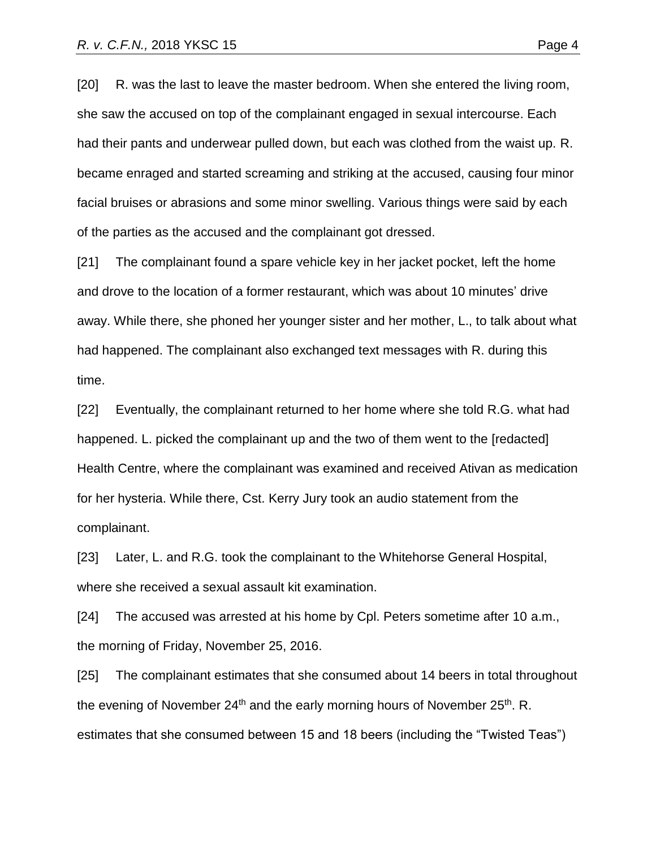[20] R. was the last to leave the master bedroom. When she entered the living room, she saw the accused on top of the complainant engaged in sexual intercourse. Each had their pants and underwear pulled down, but each was clothed from the waist up. R. became enraged and started screaming and striking at the accused, causing four minor facial bruises or abrasions and some minor swelling. Various things were said by each of the parties as the accused and the complainant got dressed.

[21] The complainant found a spare vehicle key in her jacket pocket, left the home and drove to the location of a former restaurant, which was about 10 minutes' drive away. While there, she phoned her younger sister and her mother, L., to talk about what had happened. The complainant also exchanged text messages with R. during this time.

[22] Eventually, the complainant returned to her home where she told R.G. what had happened. L. picked the complainant up and the two of them went to the [redacted] Health Centre, where the complainant was examined and received Ativan as medication for her hysteria. While there, Cst. Kerry Jury took an audio statement from the complainant.

[23] Later, L. and R.G. took the complainant to the Whitehorse General Hospital, where she received a sexual assault kit examination.

[24] The accused was arrested at his home by Cpl. Peters sometime after 10 a.m., the morning of Friday, November 25, 2016.

[25] The complainant estimates that she consumed about 14 beers in total throughout the evening of November 24<sup>th</sup> and the early morning hours of November 25<sup>th</sup>. R. estimates that she consumed between 15 and 18 beers (including the "Twisted Teas")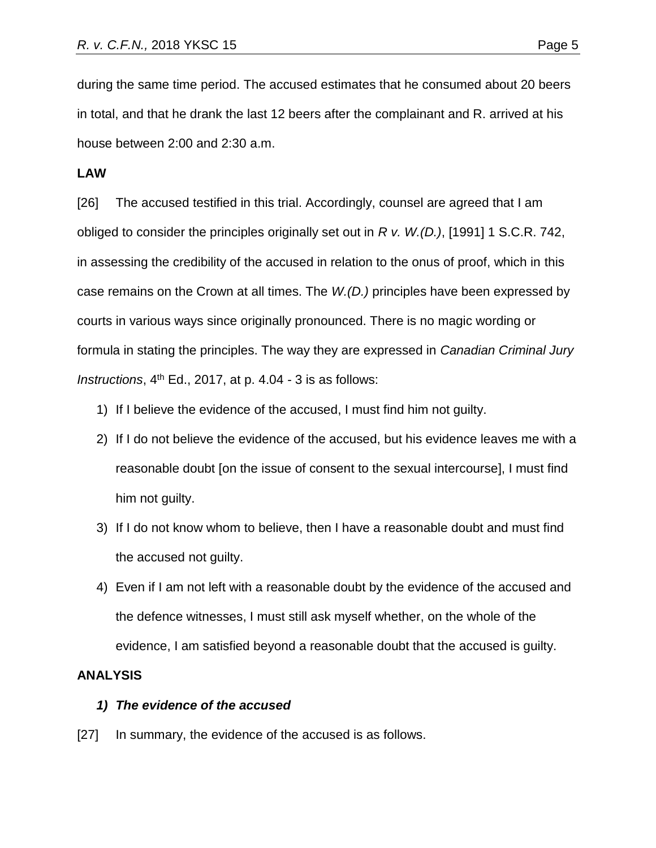during the same time period. The accused estimates that he consumed about 20 beers in total, and that he drank the last 12 beers after the complainant and R. arrived at his house between 2:00 and 2:30 a.m.

#### **LAW**

[26] The accused testified in this trial. Accordingly, counsel are agreed that I am obliged to consider the principles originally set out in *R v. W.(D.)*, [1991] 1 S.C.R. 742, in assessing the credibility of the accused in relation to the onus of proof, which in this case remains on the Crown at all times. The *W.(D.)* principles have been expressed by courts in various ways since originally pronounced. There is no magic wording or formula in stating the principles. The way they are expressed in *Canadian Criminal Jury Instructions*,  $4^{th}$  Ed., 2017, at p. 4.04 - 3 is as follows:

- 1) If I believe the evidence of the accused, I must find him not guilty.
- 2) If I do not believe the evidence of the accused, but his evidence leaves me with a reasonable doubt [on the issue of consent to the sexual intercourse], I must find him not guilty.
- 3) If I do not know whom to believe, then I have a reasonable doubt and must find the accused not guilty.
- 4) Even if I am not left with a reasonable doubt by the evidence of the accused and the defence witnesses, I must still ask myself whether, on the whole of the evidence, I am satisfied beyond a reasonable doubt that the accused is guilty.

#### **ANALYSIS**

## *1) The evidence of the accused*

[27] In summary, the evidence of the accused is as follows.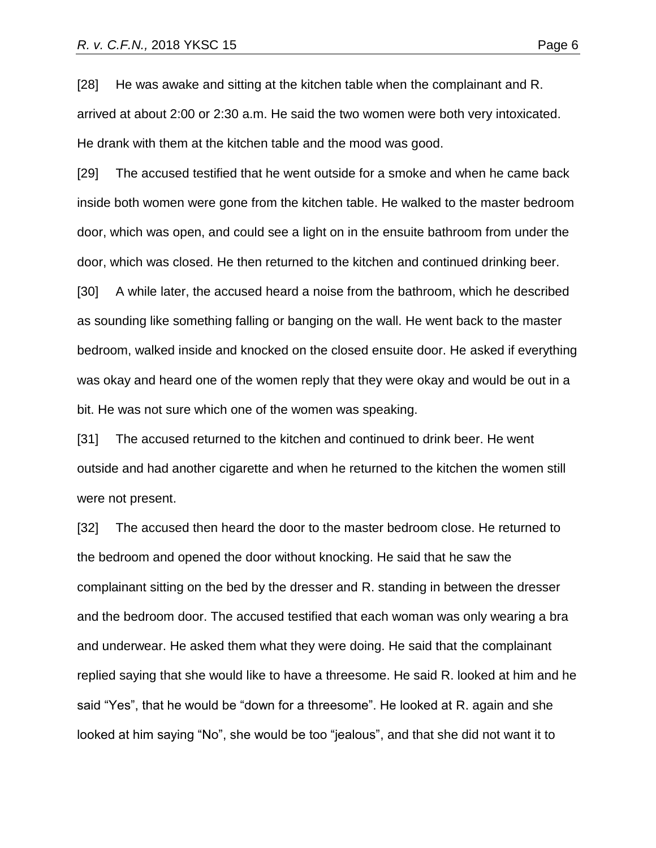[28] He was awake and sitting at the kitchen table when the complainant and R. arrived at about 2:00 or 2:30 a.m. He said the two women were both very intoxicated. He drank with them at the kitchen table and the mood was good.

[29] The accused testified that he went outside for a smoke and when he came back inside both women were gone from the kitchen table. He walked to the master bedroom door, which was open, and could see a light on in the ensuite bathroom from under the door, which was closed. He then returned to the kitchen and continued drinking beer.

[30] A while later, the accused heard a noise from the bathroom, which he described as sounding like something falling or banging on the wall. He went back to the master bedroom, walked inside and knocked on the closed ensuite door. He asked if everything was okay and heard one of the women reply that they were okay and would be out in a bit. He was not sure which one of the women was speaking.

[31] The accused returned to the kitchen and continued to drink beer. He went outside and had another cigarette and when he returned to the kitchen the women still were not present.

[32] The accused then heard the door to the master bedroom close. He returned to the bedroom and opened the door without knocking. He said that he saw the complainant sitting on the bed by the dresser and R. standing in between the dresser and the bedroom door. The accused testified that each woman was only wearing a bra and underwear. He asked them what they were doing. He said that the complainant replied saying that she would like to have a threesome. He said R. looked at him and he said "Yes", that he would be "down for a threesome". He looked at R. again and she looked at him saying "No", she would be too "jealous", and that she did not want it to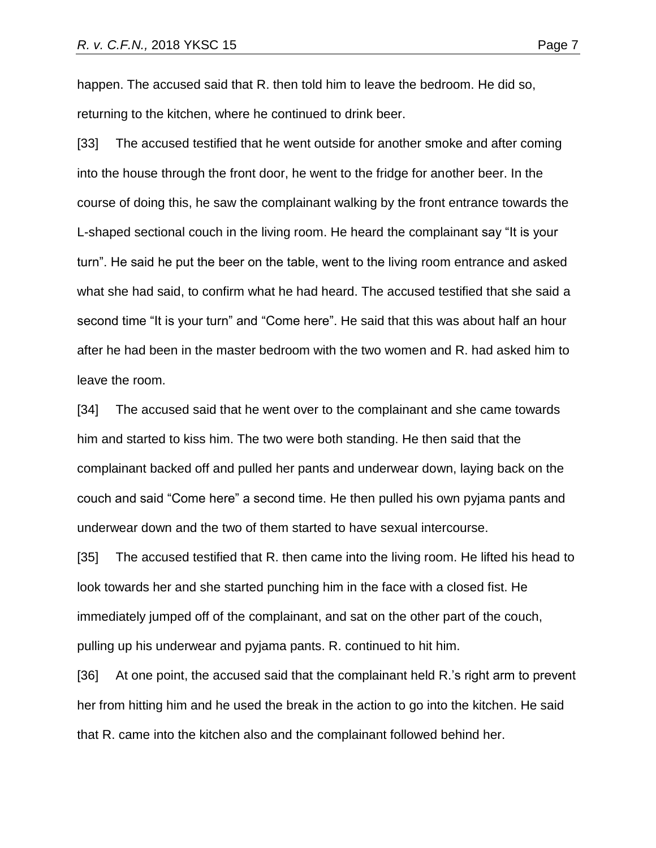happen. The accused said that R. then told him to leave the bedroom. He did so, returning to the kitchen, where he continued to drink beer.

[33] The accused testified that he went outside for another smoke and after coming into the house through the front door, he went to the fridge for another beer. In the course of doing this, he saw the complainant walking by the front entrance towards the L-shaped sectional couch in the living room. He heard the complainant say "It is your turn". He said he put the beer on the table, went to the living room entrance and asked what she had said, to confirm what he had heard. The accused testified that she said a second time "It is your turn" and "Come here". He said that this was about half an hour after he had been in the master bedroom with the two women and R. had asked him to leave the room.

[34] The accused said that he went over to the complainant and she came towards him and started to kiss him. The two were both standing. He then said that the complainant backed off and pulled her pants and underwear down, laying back on the couch and said "Come here" a second time. He then pulled his own pyjama pants and underwear down and the two of them started to have sexual intercourse.

[35] The accused testified that R. then came into the living room. He lifted his head to look towards her and she started punching him in the face with a closed fist. He immediately jumped off of the complainant, and sat on the other part of the couch, pulling up his underwear and pyjama pants. R. continued to hit him.

[36] At one point, the accused said that the complainant held R.'s right arm to prevent her from hitting him and he used the break in the action to go into the kitchen. He said that R. came into the kitchen also and the complainant followed behind her.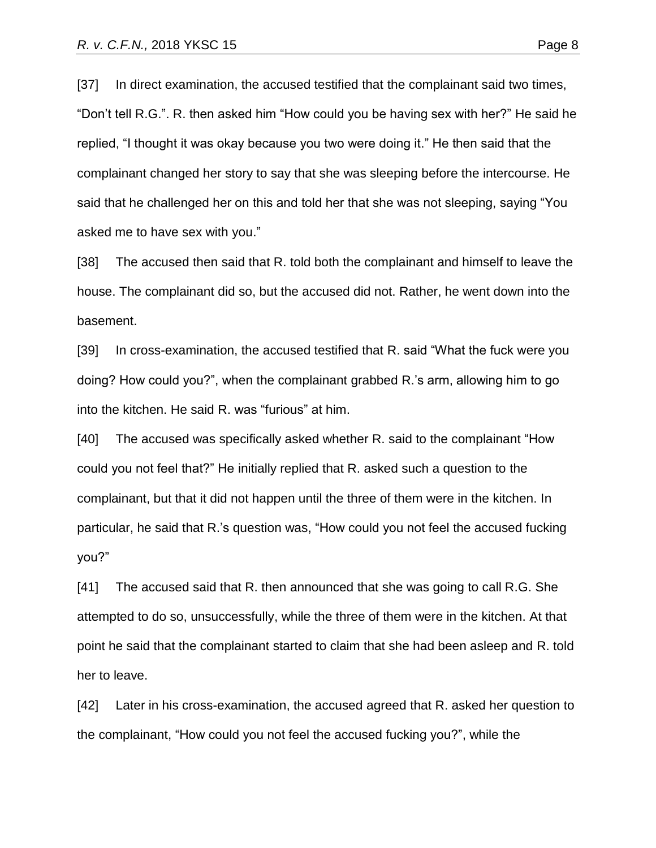[37] In direct examination, the accused testified that the complainant said two times, "Don't tell R.G.". R. then asked him "How could you be having sex with her?" He said he replied, "I thought it was okay because you two were doing it." He then said that the complainant changed her story to say that she was sleeping before the intercourse. He said that he challenged her on this and told her that she was not sleeping, saying "You asked me to have sex with you."

[38] The accused then said that R. told both the complainant and himself to leave the house. The complainant did so, but the accused did not. Rather, he went down into the basement.

[39] In cross-examination, the accused testified that R. said "What the fuck were you doing? How could you?", when the complainant grabbed R.'s arm, allowing him to go into the kitchen. He said R. was "furious" at him.

[40] The accused was specifically asked whether R. said to the complainant "How could you not feel that?" He initially replied that R. asked such a question to the complainant, but that it did not happen until the three of them were in the kitchen. In particular, he said that R.'s question was, "How could you not feel the accused fucking you?"

[41] The accused said that R. then announced that she was going to call R.G. She attempted to do so, unsuccessfully, while the three of them were in the kitchen. At that point he said that the complainant started to claim that she had been asleep and R. told her to leave.

[42] Later in his cross-examination, the accused agreed that R. asked her question to the complainant, "How could you not feel the accused fucking you?", while the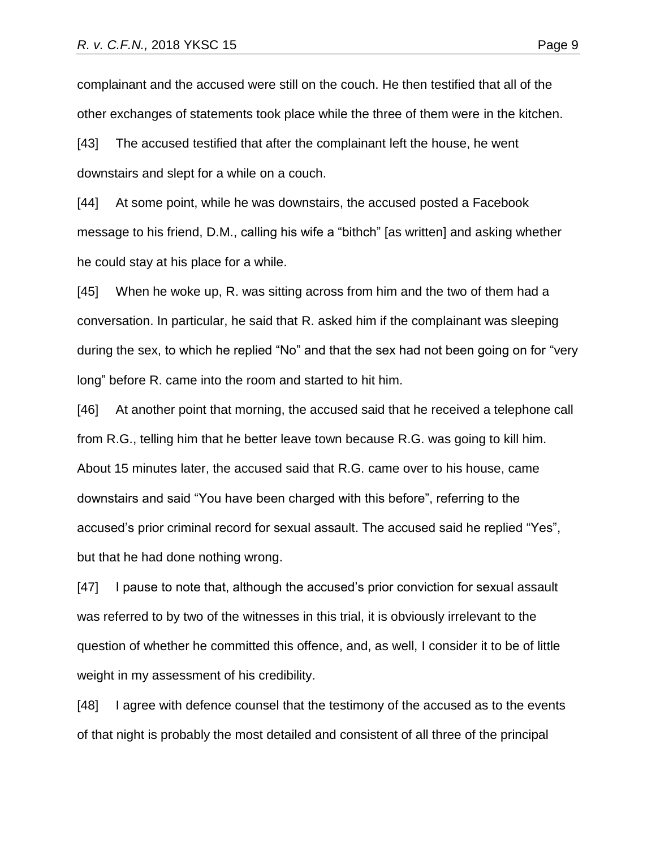complainant and the accused were still on the couch. He then testified that all of the other exchanges of statements took place while the three of them were in the kitchen.

[43] The accused testified that after the complainant left the house, he went downstairs and slept for a while on a couch.

[44] At some point, while he was downstairs, the accused posted a Facebook message to his friend, D.M., calling his wife a "bithch" [as written] and asking whether he could stay at his place for a while.

[45] When he woke up, R. was sitting across from him and the two of them had a conversation. In particular, he said that R. asked him if the complainant was sleeping during the sex, to which he replied "No" and that the sex had not been going on for "very long" before R. came into the room and started to hit him.

[46] At another point that morning, the accused said that he received a telephone call from R.G., telling him that he better leave town because R.G. was going to kill him. About 15 minutes later, the accused said that R.G. came over to his house, came downstairs and said "You have been charged with this before", referring to the accused's prior criminal record for sexual assault. The accused said he replied "Yes", but that he had done nothing wrong.

[47] I pause to note that, although the accused's prior conviction for sexual assault was referred to by two of the witnesses in this trial, it is obviously irrelevant to the question of whether he committed this offence, and, as well, I consider it to be of little weight in my assessment of his credibility.

[48] I agree with defence counsel that the testimony of the accused as to the events of that night is probably the most detailed and consistent of all three of the principal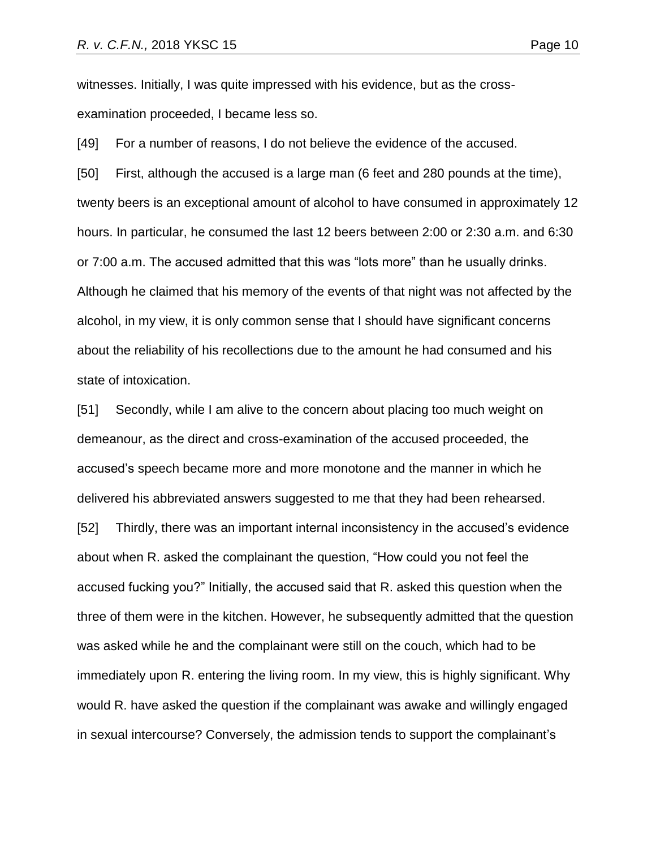witnesses. Initially, I was quite impressed with his evidence, but as the crossexamination proceeded, I became less so.

[49] For a number of reasons, I do not believe the evidence of the accused.

[50] First, although the accused is a large man (6 feet and 280 pounds at the time), twenty beers is an exceptional amount of alcohol to have consumed in approximately 12 hours. In particular, he consumed the last 12 beers between 2:00 or 2:30 a.m. and 6:30 or 7:00 a.m. The accused admitted that this was "lots more" than he usually drinks. Although he claimed that his memory of the events of that night was not affected by the alcohol, in my view, it is only common sense that I should have significant concerns about the reliability of his recollections due to the amount he had consumed and his state of intoxication.

[51] Secondly, while I am alive to the concern about placing too much weight on demeanour, as the direct and cross-examination of the accused proceeded, the accused's speech became more and more monotone and the manner in which he delivered his abbreviated answers suggested to me that they had been rehearsed. [52] Thirdly, there was an important internal inconsistency in the accused's evidence about when R. asked the complainant the question, "How could you not feel the accused fucking you?" Initially, the accused said that R. asked this question when the three of them were in the kitchen. However, he subsequently admitted that the question

was asked while he and the complainant were still on the couch, which had to be immediately upon R. entering the living room. In my view, this is highly significant. Why would R. have asked the question if the complainant was awake and willingly engaged in sexual intercourse? Conversely, the admission tends to support the complainant's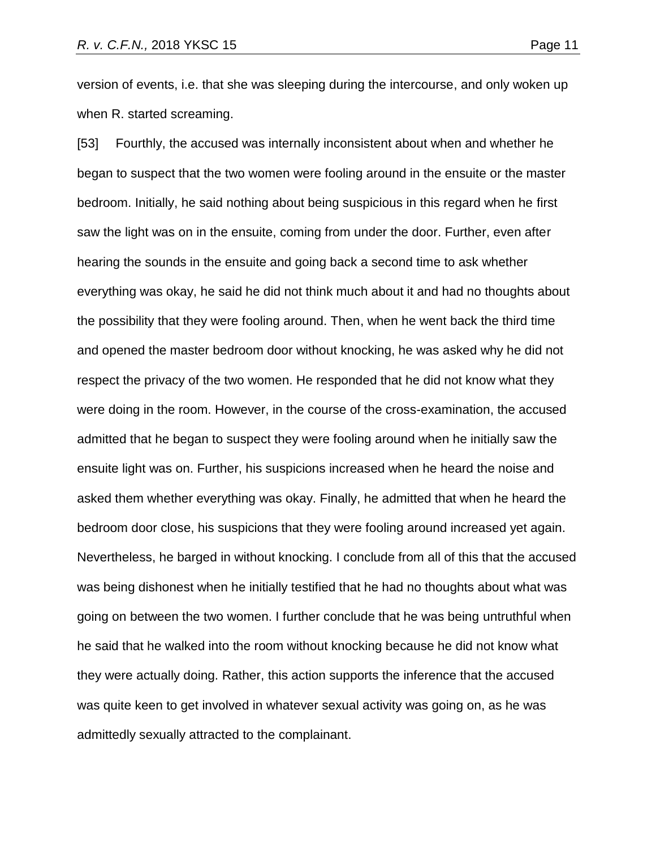version of events, i.e. that she was sleeping during the intercourse, and only woken up when R. started screaming.

[53] Fourthly, the accused was internally inconsistent about when and whether he began to suspect that the two women were fooling around in the ensuite or the master bedroom. Initially, he said nothing about being suspicious in this regard when he first saw the light was on in the ensuite, coming from under the door. Further, even after hearing the sounds in the ensuite and going back a second time to ask whether everything was okay, he said he did not think much about it and had no thoughts about the possibility that they were fooling around. Then, when he went back the third time and opened the master bedroom door without knocking, he was asked why he did not respect the privacy of the two women. He responded that he did not know what they were doing in the room. However, in the course of the cross-examination, the accused admitted that he began to suspect they were fooling around when he initially saw the ensuite light was on. Further, his suspicions increased when he heard the noise and asked them whether everything was okay. Finally, he admitted that when he heard the bedroom door close, his suspicions that they were fooling around increased yet again. Nevertheless, he barged in without knocking. I conclude from all of this that the accused was being dishonest when he initially testified that he had no thoughts about what was going on between the two women. I further conclude that he was being untruthful when he said that he walked into the room without knocking because he did not know what they were actually doing. Rather, this action supports the inference that the accused was quite keen to get involved in whatever sexual activity was going on, as he was admittedly sexually attracted to the complainant.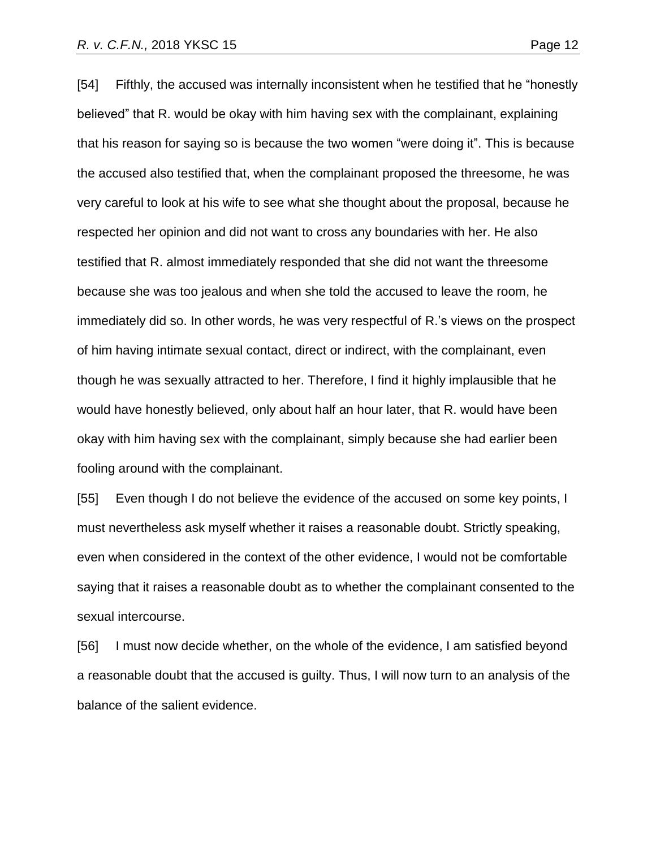[54] Fifthly, the accused was internally inconsistent when he testified that he "honestly believed" that R. would be okay with him having sex with the complainant, explaining that his reason for saying so is because the two women "were doing it". This is because the accused also testified that, when the complainant proposed the threesome, he was very careful to look at his wife to see what she thought about the proposal, because he respected her opinion and did not want to cross any boundaries with her. He also testified that R. almost immediately responded that she did not want the threesome because she was too jealous and when she told the accused to leave the room, he immediately did so. In other words, he was very respectful of R.'s views on the prospect of him having intimate sexual contact, direct or indirect, with the complainant, even though he was sexually attracted to her. Therefore, I find it highly implausible that he would have honestly believed, only about half an hour later, that R. would have been okay with him having sex with the complainant, simply because she had earlier been fooling around with the complainant.

[55] Even though I do not believe the evidence of the accused on some key points, I must nevertheless ask myself whether it raises a reasonable doubt. Strictly speaking, even when considered in the context of the other evidence, I would not be comfortable saying that it raises a reasonable doubt as to whether the complainant consented to the sexual intercourse.

[56] I must now decide whether, on the whole of the evidence, I am satisfied beyond a reasonable doubt that the accused is guilty. Thus, I will now turn to an analysis of the balance of the salient evidence.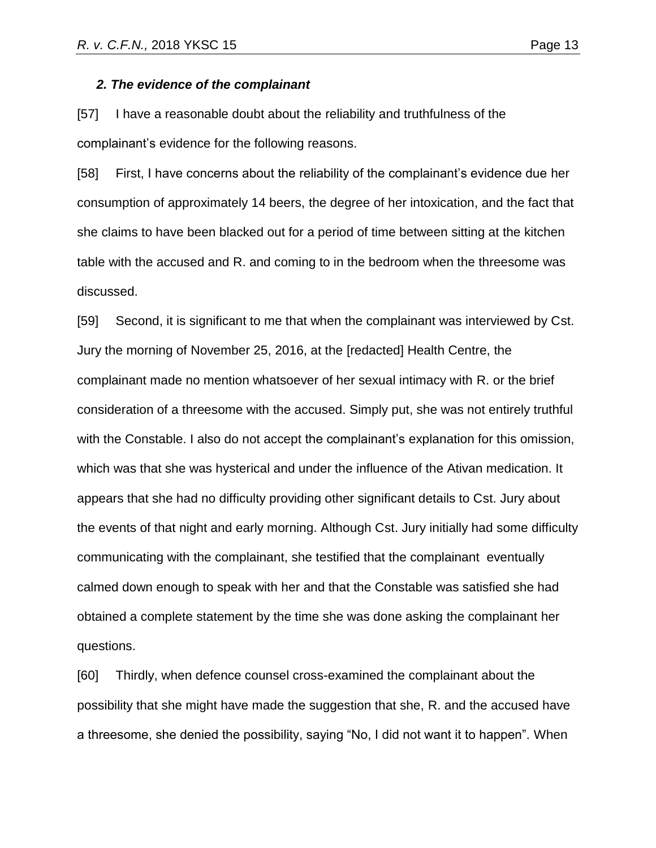#### *2. The evidence of the complainant*

[57] I have a reasonable doubt about the reliability and truthfulness of the complainant's evidence for the following reasons.

[58] First, I have concerns about the reliability of the complainant's evidence due her consumption of approximately 14 beers, the degree of her intoxication, and the fact that she claims to have been blacked out for a period of time between sitting at the kitchen table with the accused and R. and coming to in the bedroom when the threesome was discussed.

[59] Second, it is significant to me that when the complainant was interviewed by Cst. Jury the morning of November 25, 2016, at the [redacted] Health Centre, the complainant made no mention whatsoever of her sexual intimacy with R. or the brief consideration of a threesome with the accused. Simply put, she was not entirely truthful with the Constable. I also do not accept the complainant's explanation for this omission, which was that she was hysterical and under the influence of the Ativan medication. It appears that she had no difficulty providing other significant details to Cst. Jury about the events of that night and early morning. Although Cst. Jury initially had some difficulty communicating with the complainant, she testified that the complainant eventually calmed down enough to speak with her and that the Constable was satisfied she had obtained a complete statement by the time she was done asking the complainant her questions.

[60] Thirdly, when defence counsel cross-examined the complainant about the possibility that she might have made the suggestion that she, R. and the accused have a threesome, she denied the possibility, saying "No, I did not want it to happen". When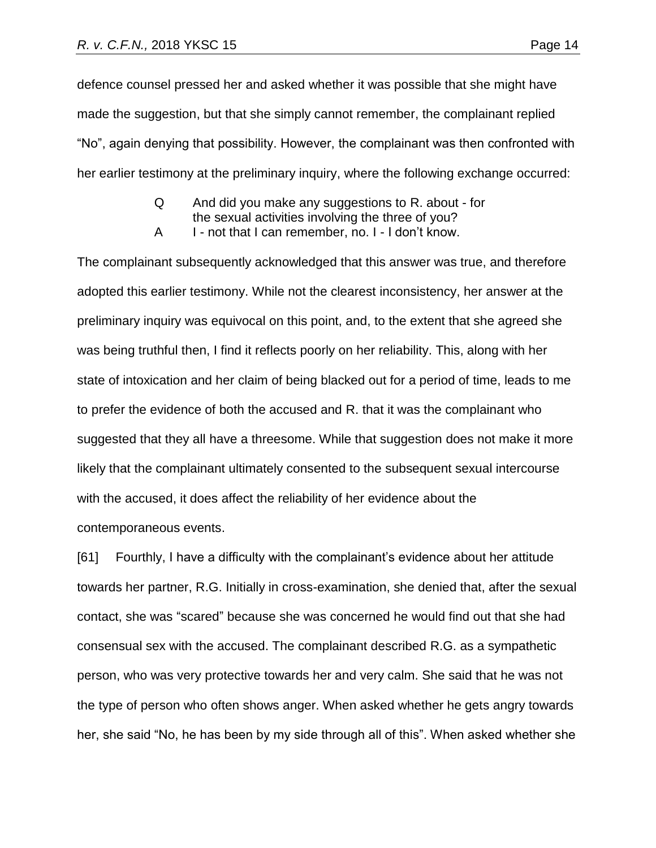defence counsel pressed her and asked whether it was possible that she might have made the suggestion, but that she simply cannot remember, the complainant replied "No", again denying that possibility. However, the complainant was then confronted with her earlier testimony at the preliminary inquiry, where the following exchange occurred:

- Q And did you make any suggestions to R. about for the sexual activities involving the three of you?
- A I not that I can remember, no. I I don't know.

The complainant subsequently acknowledged that this answer was true, and therefore adopted this earlier testimony. While not the clearest inconsistency, her answer at the preliminary inquiry was equivocal on this point, and, to the extent that she agreed she was being truthful then, I find it reflects poorly on her reliability. This, along with her state of intoxication and her claim of being blacked out for a period of time, leads to me to prefer the evidence of both the accused and R. that it was the complainant who suggested that they all have a threesome. While that suggestion does not make it more likely that the complainant ultimately consented to the subsequent sexual intercourse with the accused, it does affect the reliability of her evidence about the contemporaneous events.

[61] Fourthly, I have a difficulty with the complainant's evidence about her attitude towards her partner, R.G. Initially in cross-examination, she denied that, after the sexual contact, she was "scared" because she was concerned he would find out that she had consensual sex with the accused. The complainant described R.G. as a sympathetic person, who was very protective towards her and very calm. She said that he was not the type of person who often shows anger. When asked whether he gets angry towards her, she said "No, he has been by my side through all of this". When asked whether she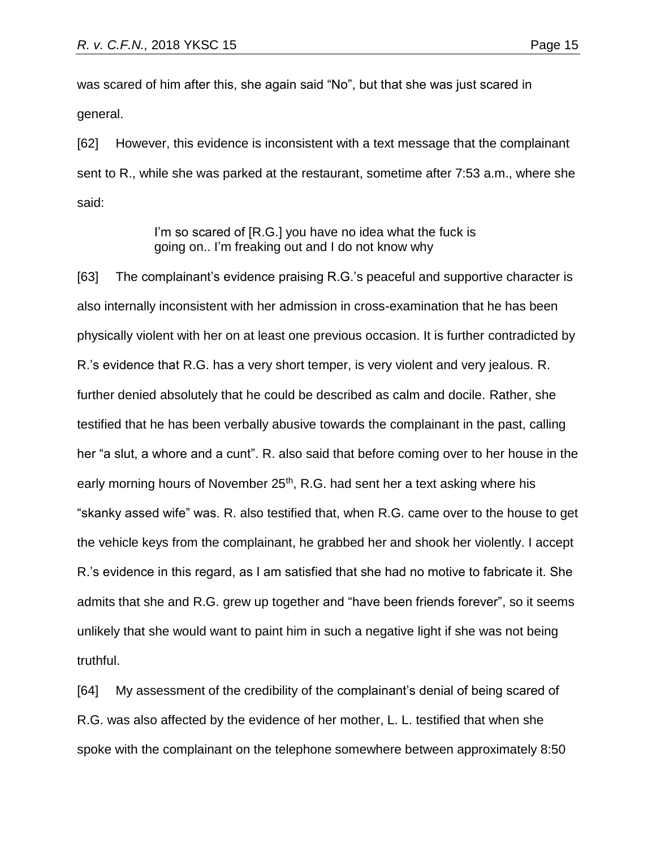was scared of him after this, she again said "No", but that she was just scared in general.

[62] However, this evidence is inconsistent with a text message that the complainant sent to R., while she was parked at the restaurant, sometime after 7:53 a.m., where she said:

> I'm so scared of [R.G.] you have no idea what the fuck is going on.. I'm freaking out and I do not know why

[63] The complainant's evidence praising R.G.'s peaceful and supportive character is also internally inconsistent with her admission in cross-examination that he has been physically violent with her on at least one previous occasion. It is further contradicted by R.'s evidence that R.G. has a very short temper, is very violent and very jealous. R. further denied absolutely that he could be described as calm and docile. Rather, she testified that he has been verbally abusive towards the complainant in the past, calling her "a slut, a whore and a cunt". R. also said that before coming over to her house in the early morning hours of November 25<sup>th</sup>, R.G. had sent her a text asking where his "skanky assed wife" was. R. also testified that, when R.G. came over to the house to get the vehicle keys from the complainant, he grabbed her and shook her violently. I accept R.'s evidence in this regard, as I am satisfied that she had no motive to fabricate it. She admits that she and R.G. grew up together and "have been friends forever", so it seems unlikely that she would want to paint him in such a negative light if she was not being truthful.

[64] My assessment of the credibility of the complainant's denial of being scared of R.G. was also affected by the evidence of her mother, L. L. testified that when she spoke with the complainant on the telephone somewhere between approximately 8:50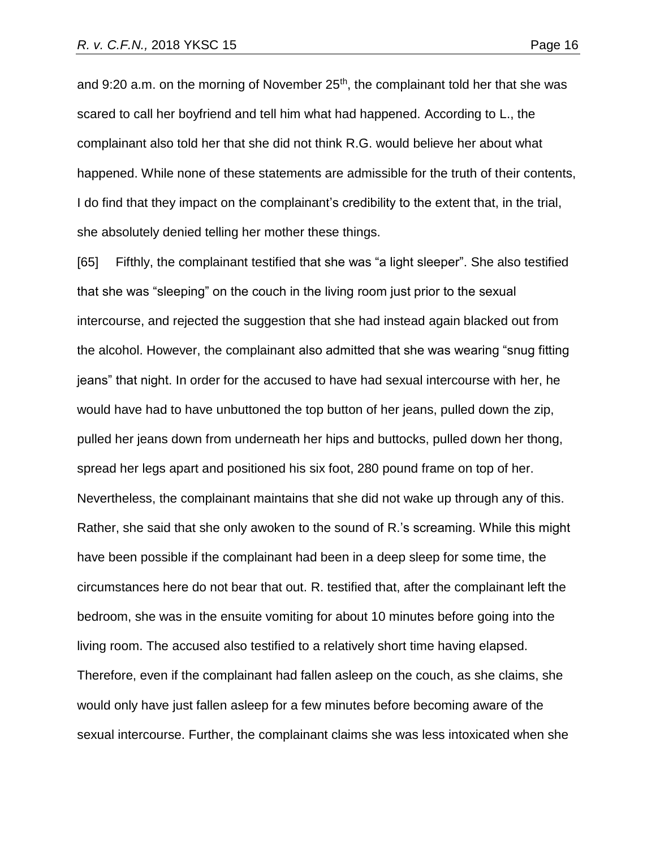and 9:20 a.m. on the morning of November 25<sup>th</sup>, the complainant told her that she was scared to call her boyfriend and tell him what had happened. According to L., the complainant also told her that she did not think R.G. would believe her about what happened. While none of these statements are admissible for the truth of their contents, I do find that they impact on the complainant's credibility to the extent that, in the trial, she absolutely denied telling her mother these things.

[65] Fifthly, the complainant testified that she was "a light sleeper". She also testified that she was "sleeping" on the couch in the living room just prior to the sexual intercourse, and rejected the suggestion that she had instead again blacked out from the alcohol. However, the complainant also admitted that she was wearing "snug fitting jeans" that night. In order for the accused to have had sexual intercourse with her, he would have had to have unbuttoned the top button of her jeans, pulled down the zip, pulled her jeans down from underneath her hips and buttocks, pulled down her thong, spread her legs apart and positioned his six foot, 280 pound frame on top of her. Nevertheless, the complainant maintains that she did not wake up through any of this. Rather, she said that she only awoken to the sound of R.'s screaming. While this might have been possible if the complainant had been in a deep sleep for some time, the circumstances here do not bear that out. R. testified that, after the complainant left the bedroom, she was in the ensuite vomiting for about 10 minutes before going into the living room. The accused also testified to a relatively short time having elapsed. Therefore, even if the complainant had fallen asleep on the couch, as she claims, she would only have just fallen asleep for a few minutes before becoming aware of the sexual intercourse. Further, the complainant claims she was less intoxicated when she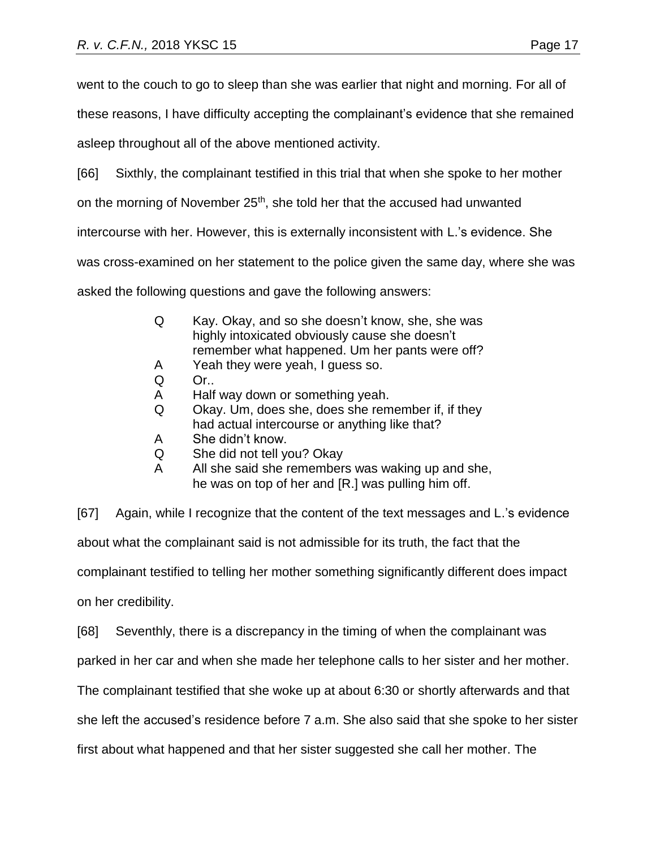went to the couch to go to sleep than she was earlier that night and morning. For all of

these reasons, I have difficulty accepting the complainant's evidence that she remained

asleep throughout all of the above mentioned activity.

[66] Sixthly, the complainant testified in this trial that when she spoke to her mother

on the morning of November 25<sup>th</sup>, she told her that the accused had unwanted

intercourse with her. However, this is externally inconsistent with L.'s evidence. She

was cross-examined on her statement to the police given the same day, where she was

asked the following questions and gave the following answers:

- Q Kay. Okay, and so she doesn't know, she, she was highly intoxicated obviously cause she doesn't remember what happened. Um her pants were off?
- A Yeah they were yeah, I guess so.
- Q Or..
- A Half way down or something yeah.
- Q Okay. Um, does she, does she remember if, if they had actual intercourse or anything like that?
- A She didn't know.
- Q She did not tell you? Okay
- A All she said she remembers was waking up and she, he was on top of her and [R.] was pulling him off.

[67] Again, while I recognize that the content of the text messages and L.'s evidence about what the complainant said is not admissible for its truth, the fact that the complainant testified to telling her mother something significantly different does impact on her credibility.

[68] Seventhly, there is a discrepancy in the timing of when the complainant was

parked in her car and when she made her telephone calls to her sister and her mother.

The complainant testified that she woke up at about 6:30 or shortly afterwards and that

she left the accused's residence before 7 a.m. She also said that she spoke to her sister

first about what happened and that her sister suggested she call her mother. The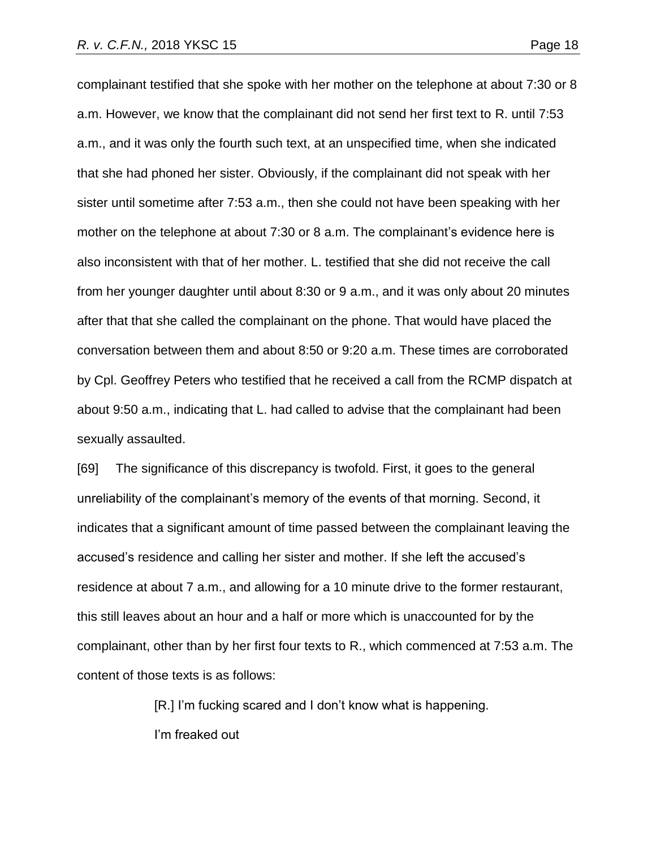complainant testified that she spoke with her mother on the telephone at about 7:30 or 8 a.m. However, we know that the complainant did not send her first text to R. until 7:53 a.m., and it was only the fourth such text, at an unspecified time, when she indicated that she had phoned her sister. Obviously, if the complainant did not speak with her sister until sometime after 7:53 a.m., then she could not have been speaking with her mother on the telephone at about 7:30 or 8 a.m. The complainant's evidence here is also inconsistent with that of her mother. L. testified that she did not receive the call from her younger daughter until about 8:30 or 9 a.m., and it was only about 20 minutes after that that she called the complainant on the phone. That would have placed the conversation between them and about 8:50 or 9:20 a.m. These times are corroborated by Cpl. Geoffrey Peters who testified that he received a call from the RCMP dispatch at about 9:50 a.m., indicating that L. had called to advise that the complainant had been sexually assaulted.

[69] The significance of this discrepancy is twofold. First, it goes to the general unreliability of the complainant's memory of the events of that morning. Second, it indicates that a significant amount of time passed between the complainant leaving the accused's residence and calling her sister and mother. If she left the accused's residence at about 7 a.m., and allowing for a 10 minute drive to the former restaurant, this still leaves about an hour and a half or more which is unaccounted for by the complainant, other than by her first four texts to R., which commenced at 7:53 a.m. The content of those texts is as follows:

> [R.] I'm fucking scared and I don't know what is happening. I'm freaked out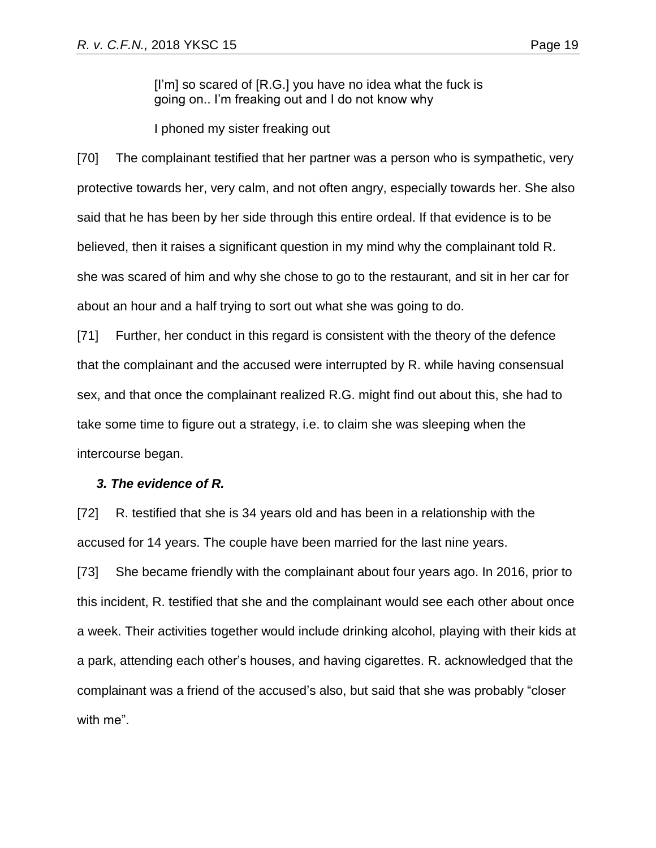[I'm] so scared of [R.G.] you have no idea what the fuck is going on.. I'm freaking out and I do not know why

I phoned my sister freaking out

[70] The complainant testified that her partner was a person who is sympathetic, very protective towards her, very calm, and not often angry, especially towards her. She also said that he has been by her side through this entire ordeal. If that evidence is to be believed, then it raises a significant question in my mind why the complainant told R. she was scared of him and why she chose to go to the restaurant, and sit in her car for about an hour and a half trying to sort out what she was going to do.

[71] Further, her conduct in this regard is consistent with the theory of the defence that the complainant and the accused were interrupted by R. while having consensual sex, and that once the complainant realized R.G. might find out about this, she had to take some time to figure out a strategy, i.e. to claim she was sleeping when the intercourse began.

## *3. The evidence of R.*

[72] R. testified that she is 34 years old and has been in a relationship with the accused for 14 years. The couple have been married for the last nine years.

[73] She became friendly with the complainant about four years ago. In 2016, prior to this incident, R. testified that she and the complainant would see each other about once a week. Their activities together would include drinking alcohol, playing with their kids at a park, attending each other's houses, and having cigarettes. R. acknowledged that the complainant was a friend of the accused's also, but said that she was probably "closer with me".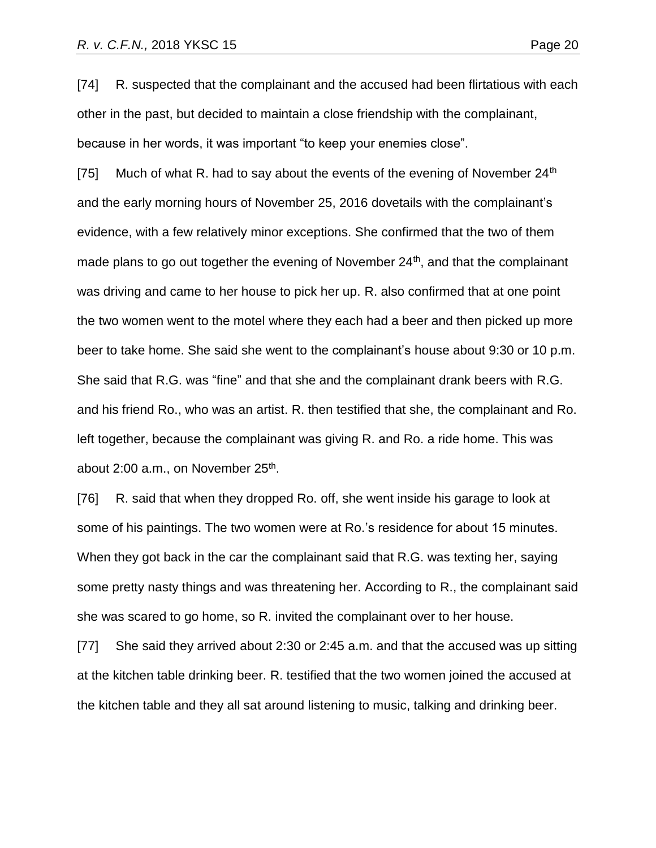[74] R. suspected that the complainant and the accused had been flirtatious with each other in the past, but decided to maintain a close friendship with the complainant, because in her words, it was important "to keep your enemies close".

[75] Much of what R. had to say about the events of the evening of November  $24<sup>th</sup>$ and the early morning hours of November 25, 2016 dovetails with the complainant's evidence, with a few relatively minor exceptions. She confirmed that the two of them made plans to go out together the evening of November 24<sup>th</sup>, and that the complainant was driving and came to her house to pick her up. R. also confirmed that at one point the two women went to the motel where they each had a beer and then picked up more beer to take home. She said she went to the complainant's house about 9:30 or 10 p.m. She said that R.G. was "fine" and that she and the complainant drank beers with R.G. and his friend Ro., who was an artist. R. then testified that she, the complainant and Ro. left together, because the complainant was giving R. and Ro. a ride home. This was about 2:00 a.m., on November 25<sup>th</sup>.

[76] R. said that when they dropped Ro. off, she went inside his garage to look at some of his paintings. The two women were at Ro.'s residence for about 15 minutes. When they got back in the car the complainant said that R.G. was texting her, saying some pretty nasty things and was threatening her. According to R., the complainant said she was scared to go home, so R. invited the complainant over to her house.

[77] She said they arrived about 2:30 or 2:45 a.m. and that the accused was up sitting at the kitchen table drinking beer. R. testified that the two women joined the accused at the kitchen table and they all sat around listening to music, talking and drinking beer.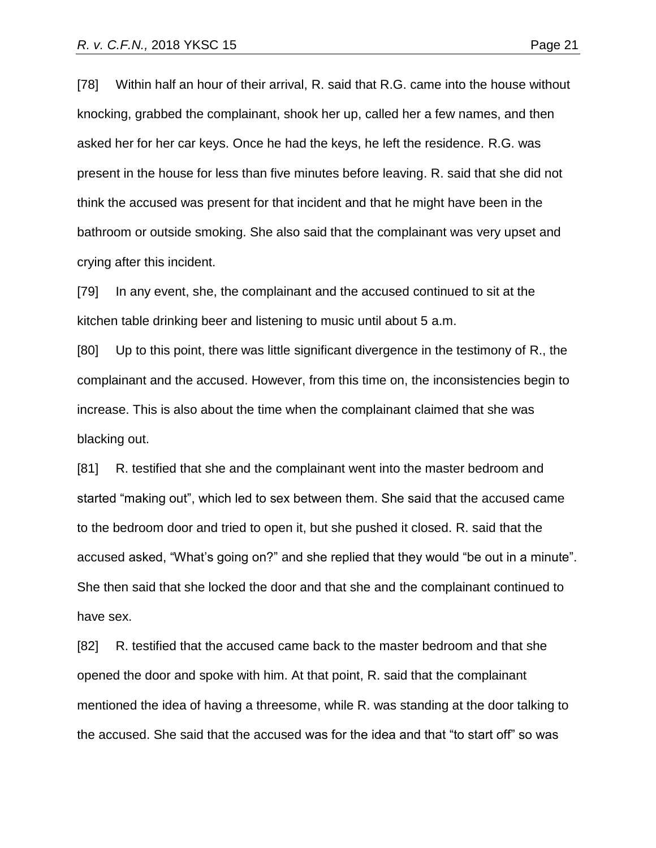[78] Within half an hour of their arrival, R. said that R.G. came into the house without knocking, grabbed the complainant, shook her up, called her a few names, and then asked her for her car keys. Once he had the keys, he left the residence. R.G. was present in the house for less than five minutes before leaving. R. said that she did not think the accused was present for that incident and that he might have been in the bathroom or outside smoking. She also said that the complainant was very upset and crying after this incident.

[79] In any event, she, the complainant and the accused continued to sit at the kitchen table drinking beer and listening to music until about 5 a.m.

[80] Up to this point, there was little significant divergence in the testimony of R., the complainant and the accused. However, from this time on, the inconsistencies begin to increase. This is also about the time when the complainant claimed that she was blacking out.

[81] R. testified that she and the complainant went into the master bedroom and started "making out", which led to sex between them. She said that the accused came to the bedroom door and tried to open it, but she pushed it closed. R. said that the accused asked, "What's going on?" and she replied that they would "be out in a minute". She then said that she locked the door and that she and the complainant continued to have sex.

[82] R. testified that the accused came back to the master bedroom and that she opened the door and spoke with him. At that point, R. said that the complainant mentioned the idea of having a threesome, while R. was standing at the door talking to the accused. She said that the accused was for the idea and that "to start off" so was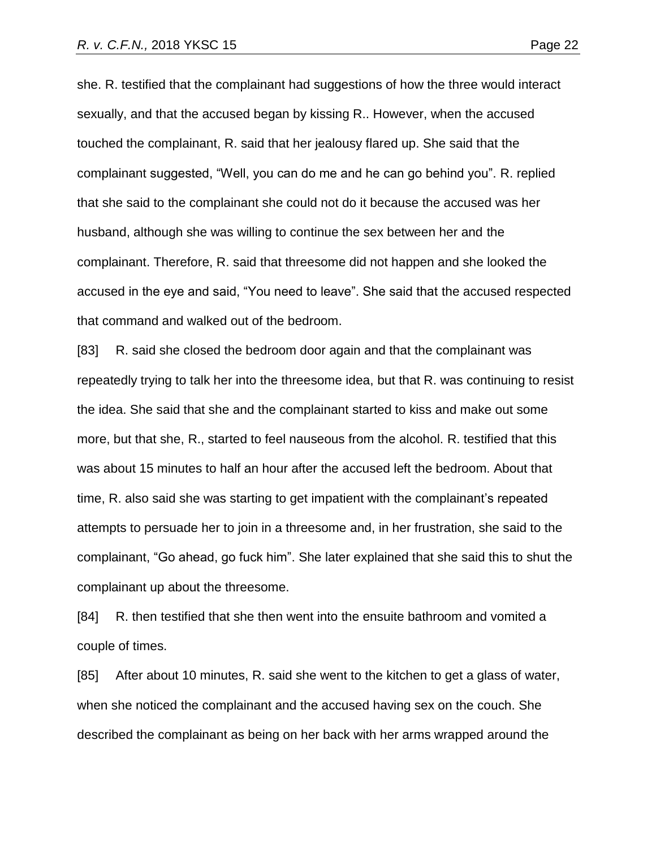she. R. testified that the complainant had suggestions of how the three would interact sexually, and that the accused began by kissing R.. However, when the accused touched the complainant, R. said that her jealousy flared up. She said that the complainant suggested, "Well, you can do me and he can go behind you". R. replied that she said to the complainant she could not do it because the accused was her husband, although she was willing to continue the sex between her and the complainant. Therefore, R. said that threesome did not happen and she looked the accused in the eye and said, "You need to leave". She said that the accused respected that command and walked out of the bedroom.

[83] R. said she closed the bedroom door again and that the complainant was repeatedly trying to talk her into the threesome idea, but that R. was continuing to resist the idea. She said that she and the complainant started to kiss and make out some more, but that she, R., started to feel nauseous from the alcohol. R. testified that this was about 15 minutes to half an hour after the accused left the bedroom. About that time, R. also said she was starting to get impatient with the complainant's repeated attempts to persuade her to join in a threesome and, in her frustration, she said to the complainant, "Go ahead, go fuck him". She later explained that she said this to shut the complainant up about the threesome.

[84] R. then testified that she then went into the ensuite bathroom and vomited a couple of times.

[85] After about 10 minutes, R. said she went to the kitchen to get a glass of water, when she noticed the complainant and the accused having sex on the couch. She described the complainant as being on her back with her arms wrapped around the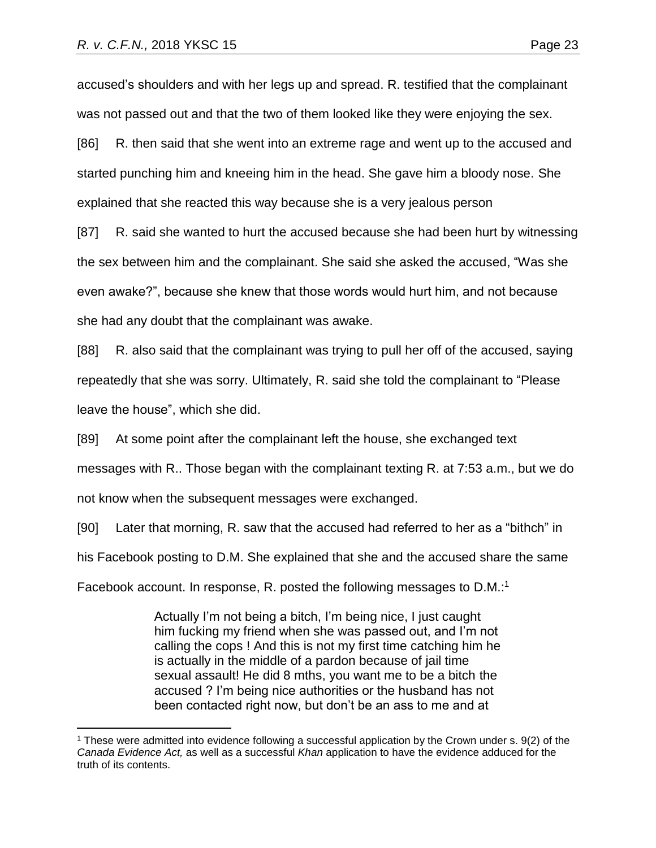accused's shoulders and with her legs up and spread. R. testified that the complainant was not passed out and that the two of them looked like they were enjoying the sex.

[86] R. then said that she went into an extreme rage and went up to the accused and started punching him and kneeing him in the head. She gave him a bloody nose. She explained that she reacted this way because she is a very jealous person

[87] R. said she wanted to hurt the accused because she had been hurt by witnessing the sex between him and the complainant. She said she asked the accused, "Was she even awake?", because she knew that those words would hurt him, and not because she had any doubt that the complainant was awake.

[88] R. also said that the complainant was trying to pull her off of the accused, saying repeatedly that she was sorry. Ultimately, R. said she told the complainant to "Please leave the house", which she did.

[89] At some point after the complainant left the house, she exchanged text

messages with R.. Those began with the complainant texting R. at 7:53 a.m., but we do

not know when the subsequent messages were exchanged.

 $\overline{a}$ 

[90] Later that morning, R. saw that the accused had referred to her as a "bithch" in his Facebook posting to D.M. She explained that she and the accused share the same

Facebook account. In response, R. posted the following messages to D.M.:<sup>1</sup>

Actually I'm not being a bitch, I'm being nice, I just caught him fucking my friend when she was passed out, and I'm not calling the cops ! And this is not my first time catching him he is actually in the middle of a pardon because of jail time sexual assault! He did 8 mths, you want me to be a bitch the accused ? I'm being nice authorities or the husband has not been contacted right now, but don't be an ass to me and at

<sup>1</sup> These were admitted into evidence following a successful application by the Crown under s. 9(2) of the *Canada Evidence Act,* as well as a successful *Khan* application to have the evidence adduced for the truth of its contents.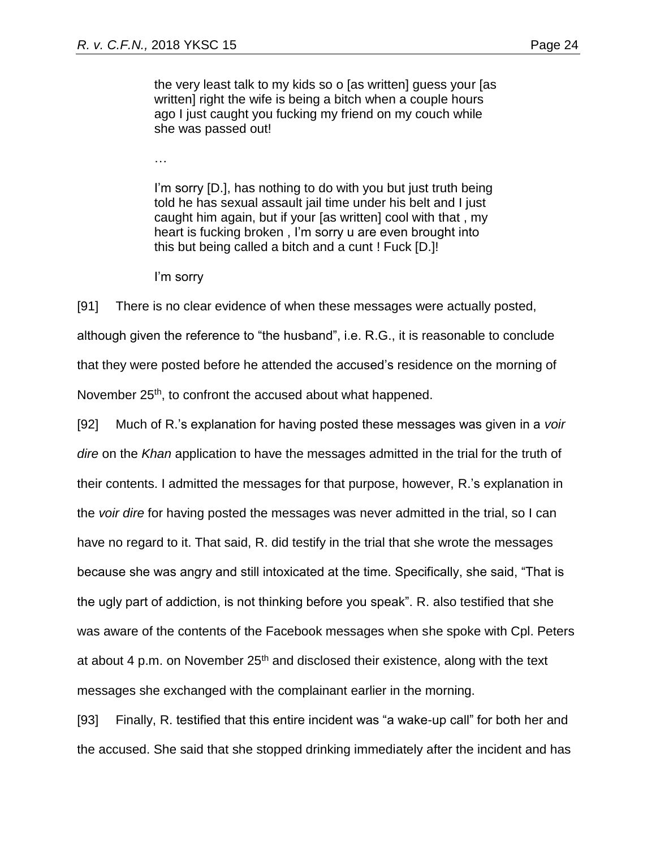the very least talk to my kids so o [as written] guess your [as written] right the wife is being a bitch when a couple hours ago I just caught you fucking my friend on my couch while she was passed out!

…

I'm sorry [D.], has nothing to do with you but just truth being told he has sexual assault jail time under his belt and I just caught him again, but if your [as written] cool with that , my heart is fucking broken , I'm sorry u are even brought into this but being called a bitch and a cunt ! Fuck [D.]!

I'm sorry

[91] There is no clear evidence of when these messages were actually posted, although given the reference to "the husband", i.e. R.G., it is reasonable to conclude that they were posted before he attended the accused's residence on the morning of November 25<sup>th</sup>, to confront the accused about what happened.

[92] Much of R.'s explanation for having posted these messages was given in a *voir dire* on the *Khan* application to have the messages admitted in the trial for the truth of their contents. I admitted the messages for that purpose, however, R.'s explanation in the *voir dire* for having posted the messages was never admitted in the trial, so I can have no regard to it. That said, R. did testify in the trial that she wrote the messages because she was angry and still intoxicated at the time. Specifically, she said, "That is the ugly part of addiction, is not thinking before you speak". R. also testified that she was aware of the contents of the Facebook messages when she spoke with Cpl. Peters at about 4 p.m. on November  $25<sup>th</sup>$  and disclosed their existence, along with the text messages she exchanged with the complainant earlier in the morning.

[93] Finally, R. testified that this entire incident was "a wake-up call" for both her and the accused. She said that she stopped drinking immediately after the incident and has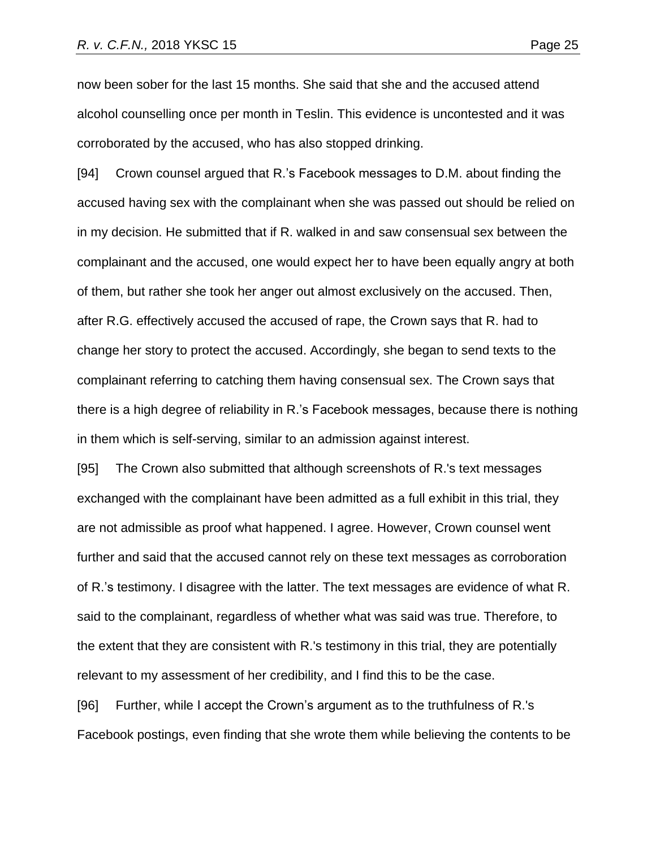now been sober for the last 15 months. She said that she and the accused attend alcohol counselling once per month in Teslin. This evidence is uncontested and it was corroborated by the accused, who has also stopped drinking.

[94] Crown counsel argued that R.'s Facebook messages to D.M. about finding the accused having sex with the complainant when she was passed out should be relied on in my decision. He submitted that if R. walked in and saw consensual sex between the complainant and the accused, one would expect her to have been equally angry at both of them, but rather she took her anger out almost exclusively on the accused. Then, after R.G. effectively accused the accused of rape, the Crown says that R. had to change her story to protect the accused. Accordingly, she began to send texts to the complainant referring to catching them having consensual sex. The Crown says that there is a high degree of reliability in R.'s Facebook messages, because there is nothing in them which is self-serving, similar to an admission against interest.

[95] The Crown also submitted that although screenshots of R.'s text messages exchanged with the complainant have been admitted as a full exhibit in this trial, they are not admissible as proof what happened. I agree. However, Crown counsel went further and said that the accused cannot rely on these text messages as corroboration of R.'s testimony. I disagree with the latter. The text messages are evidence of what R. said to the complainant, regardless of whether what was said was true. Therefore, to the extent that they are consistent with R.'s testimony in this trial, they are potentially relevant to my assessment of her credibility, and I find this to be the case.

[96] Further, while I accept the Crown's argument as to the truthfulness of R.'s Facebook postings, even finding that she wrote them while believing the contents to be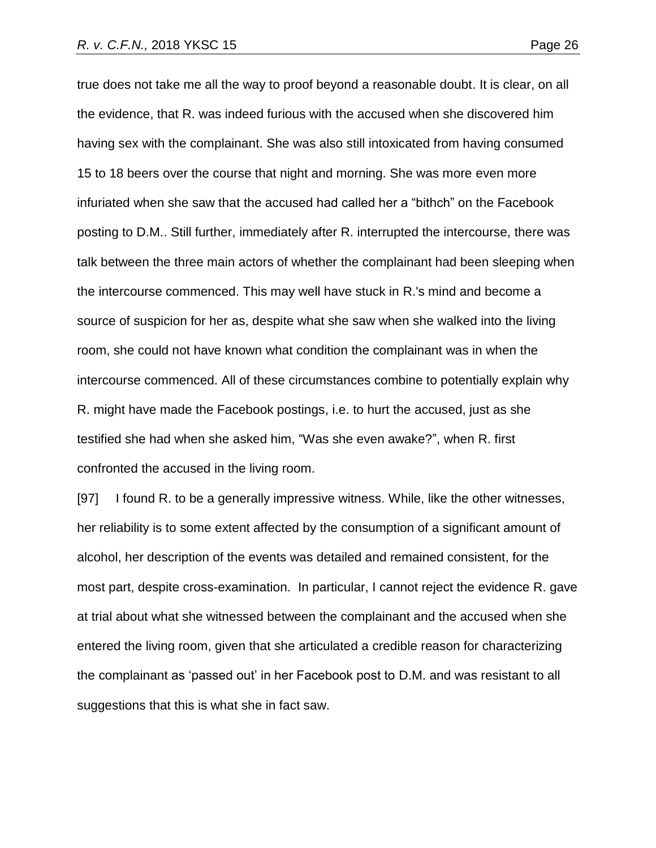true does not take me all the way to proof beyond a reasonable doubt. It is clear, on all the evidence, that R. was indeed furious with the accused when she discovered him having sex with the complainant. She was also still intoxicated from having consumed 15 to 18 beers over the course that night and morning. She was more even more infuriated when she saw that the accused had called her a "bithch" on the Facebook posting to D.M.. Still further, immediately after R. interrupted the intercourse, there was talk between the three main actors of whether the complainant had been sleeping when the intercourse commenced. This may well have stuck in R.'s mind and become a source of suspicion for her as, despite what she saw when she walked into the living room, she could not have known what condition the complainant was in when the intercourse commenced. All of these circumstances combine to potentially explain why R. might have made the Facebook postings, i.e. to hurt the accused, just as she testified she had when she asked him, "Was she even awake?", when R. first confronted the accused in the living room.

[97] I found R. to be a generally impressive witness. While, like the other witnesses, her reliability is to some extent affected by the consumption of a significant amount of alcohol, her description of the events was detailed and remained consistent, for the most part, despite cross-examination. In particular, I cannot reject the evidence R. gave at trial about what she witnessed between the complainant and the accused when she entered the living room, given that she articulated a credible reason for characterizing the complainant as 'passed out' in her Facebook post to D.M. and was resistant to all suggestions that this is what she in fact saw.